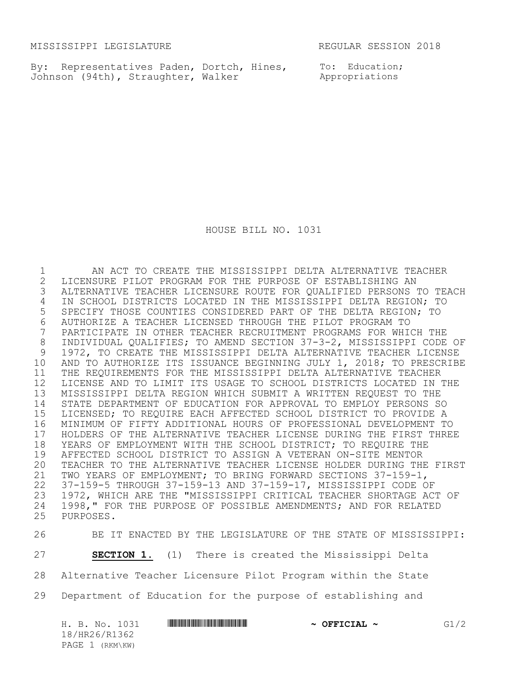MISSISSIPPI LEGISLATURE **REGULAR SESSION 2018** 

By: Representatives Paden, Dortch, Hines, Johnson (94th), Straughter, Walker

To: Education; Appropriations

HOUSE BILL NO. 1031

 AN ACT TO CREATE THE MISSISSIPPI DELTA ALTERNATIVE TEACHER 2 LICENSURE PILOT PROGRAM FOR THE PURPOSE OF ESTABLISHING AN<br>3 ALTERNATIVE TEACHER LICENSURE ROUTE FOR QUALIFIED PERSONS ! ALTERNATIVE TEACHER LICENSURE ROUTE FOR QUALIFIED PERSONS TO TEACH IN SCHOOL DISTRICTS LOCATED IN THE MISSISSIPPI DELTA REGION; TO SPECIFY THOSE COUNTIES CONSIDERED PART OF THE DELTA REGION; TO AUTHORIZE A TEACHER LICENSED THROUGH THE PILOT PROGRAM TO PARTICIPATE IN OTHER TEACHER RECRUITMENT PROGRAMS FOR WHICH THE INDIVIDUAL QUALIFIES; TO AMEND SECTION 37-3-2, MISSISSIPPI CODE OF 1972, TO CREATE THE MISSISSIPPI DELTA ALTERNATIVE TEACHER LICENSE AND TO AUTHORIZE ITS ISSUANCE BEGINNING JULY 1, 2018; TO PRESCRIBE THE REQUIREMENTS FOR THE MISSISSIPPI DELTA ALTERNATIVE TEACHER LICENSE AND TO LIMIT ITS USAGE TO SCHOOL DISTRICTS LOCATED IN THE MISSISSIPPI DELTA REGION WHICH SUBMIT A WRITTEN REQUEST TO THE STATE DEPARTMENT OF EDUCATION FOR APPROVAL TO EMPLOY PERSONS SO LICENSED; TO REQUIRE EACH AFFECTED SCHOOL DISTRICT TO PROVIDE A MINIMUM OF FIFTY ADDITIONAL HOURS OF PROFESSIONAL DEVELOPMENT TO 17 HOLDERS OF THE ALTERNATIVE TEACHER LICENSE DURING THE FIRST THREE<br>18 YEARS OF EMPLOYMENT WITH THE SCHOOL DISTRICT; TO REQUIRE THE 18 YEARS OF EMPLOYMENT WITH THE SCHOOL DISTRICT; TO REQUIRE THE 19 AFFECTED SCHOOL DISTRICT TO ASSIGN A VETERAN ON-SITE MENTOR AFFECTED SCHOOL DISTRICT TO ASSIGN A VETERAN ON-SITE MENTOR TEACHER TO THE ALTERNATIVE TEACHER LICENSE HOLDER DURING THE FIRST TWO YEARS OF EMPLOYMENT; TO BRING FORWARD SECTIONS 37-159-1, 37-159-5 THROUGH 37-159-13 AND 37-159-17, MISSISSIPPI CODE OF 1972, WHICH ARE THE "MISSISSIPPI CRITICAL TEACHER SHORTAGE ACT OF 24 1998," FOR THE PURPOSE OF POSSIBLE AMENDMENTS; AND FOR RELATED PURPOSES. PURPOSES.

BE IT ENACTED BY THE LEGISLATURE OF THE STATE OF MISSISSIPPI:

**SECTION 1.** (1) There is created the Mississippi Delta

Alternative Teacher Licensure Pilot Program within the State

Department of Education for the purpose of establishing and

| H. B. No. 1031  |  | <u> I III III III III III III III II III II III III III III III III III III III III III III III III III III III</u> | $\sim$ OFFICIAL $\sim$ | G1/2 |
|-----------------|--|---------------------------------------------------------------------------------------------------------------------|------------------------|------|
| 18/HR26/R1362   |  |                                                                                                                     |                        |      |
| PAGE 1 (RKM\KW) |  |                                                                                                                     |                        |      |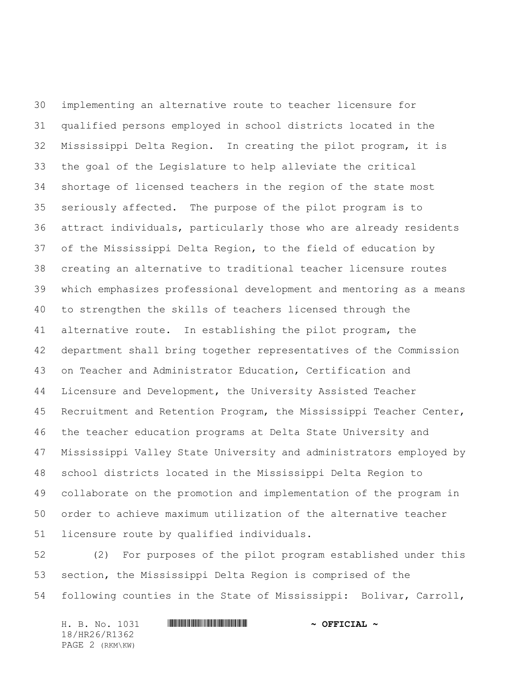implementing an alternative route to teacher licensure for qualified persons employed in school districts located in the Mississippi Delta Region. In creating the pilot program, it is the goal of the Legislature to help alleviate the critical shortage of licensed teachers in the region of the state most seriously affected. The purpose of the pilot program is to attract individuals, particularly those who are already residents of the Mississippi Delta Region, to the field of education by creating an alternative to traditional teacher licensure routes which emphasizes professional development and mentoring as a means to strengthen the skills of teachers licensed through the alternative route. In establishing the pilot program, the department shall bring together representatives of the Commission on Teacher and Administrator Education, Certification and Licensure and Development, the University Assisted Teacher Recruitment and Retention Program, the Mississippi Teacher Center, the teacher education programs at Delta State University and Mississippi Valley State University and administrators employed by school districts located in the Mississippi Delta Region to collaborate on the promotion and implementation of the program in order to achieve maximum utilization of the alternative teacher licensure route by qualified individuals.

 (2) For purposes of the pilot program established under this section, the Mississippi Delta Region is comprised of the following counties in the State of Mississippi: Bolivar, Carroll,

H. B. No. 1031 \*HR26/R1362\* **~ OFFICIAL ~** 18/HR26/R1362 PAGE 2 (RKM\KW)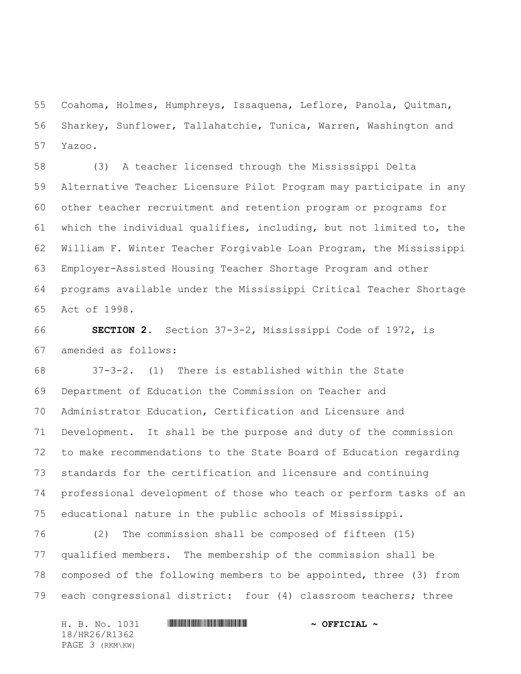Coahoma, Holmes, Humphreys, Issaquena, Leflore, Panola, Quitman, Sharkey, Sunflower, Tallahatchie, Tunica, Warren, Washington and Yazoo.

 (3) A teacher licensed through the Mississippi Delta Alternative Teacher Licensure Pilot Program may participate in any other teacher recruitment and retention program or programs for which the individual qualifies, including, but not limited to, the William F. Winter Teacher Forgivable Loan Program, the Mississippi Employer-Assisted Housing Teacher Shortage Program and other programs available under the Mississippi Critical Teacher Shortage Act of 1998.

 **SECTION 2.** Section 37-3-2, Mississippi Code of 1972, is amended as follows:

 37-3-2. (1) There is established within the State Department of Education the Commission on Teacher and Administrator Education, Certification and Licensure and Development. It shall be the purpose and duty of the commission to make recommendations to the State Board of Education regarding standards for the certification and licensure and continuing professional development of those who teach or perform tasks of an educational nature in the public schools of Mississippi.

 (2) The commission shall be composed of fifteen (15) qualified members. The membership of the commission shall be composed of the following members to be appointed, three (3) from each congressional district: four (4) classroom teachers; three

18/HR26/R1362 PAGE 3 (RKM\KW)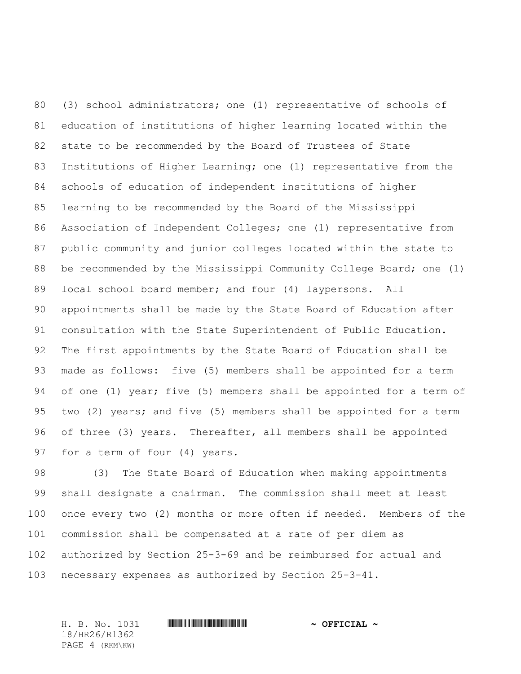(3) school administrators; one (1) representative of schools of education of institutions of higher learning located within the state to be recommended by the Board of Trustees of State Institutions of Higher Learning; one (1) representative from the schools of education of independent institutions of higher learning to be recommended by the Board of the Mississippi Association of Independent Colleges; one (1) representative from public community and junior colleges located within the state to be recommended by the Mississippi Community College Board; one (1) local school board member; and four (4) laypersons. All appointments shall be made by the State Board of Education after consultation with the State Superintendent of Public Education. The first appointments by the State Board of Education shall be made as follows: five (5) members shall be appointed for a term of one (1) year; five (5) members shall be appointed for a term of two (2) years; and five (5) members shall be appointed for a term of three (3) years. Thereafter, all members shall be appointed for a term of four (4) years.

 (3) The State Board of Education when making appointments shall designate a chairman. The commission shall meet at least once every two (2) months or more often if needed. Members of the commission shall be compensated at a rate of per diem as authorized by Section 25-3-69 and be reimbursed for actual and necessary expenses as authorized by Section 25-3-41.

18/HR26/R1362 PAGE 4 (RKM\KW)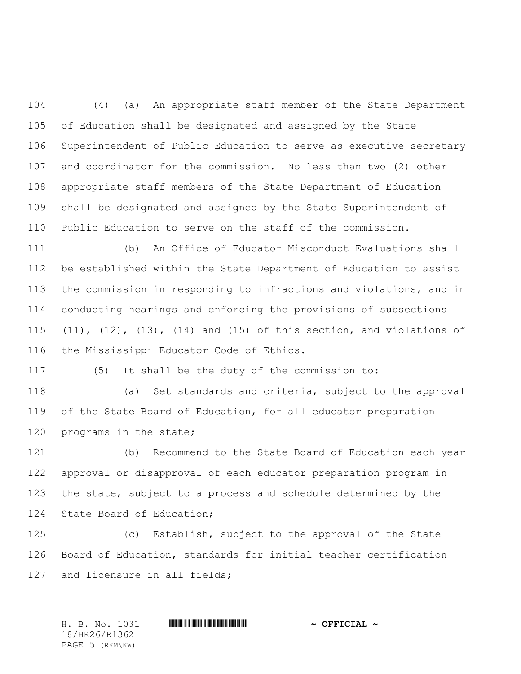(4) (a) An appropriate staff member of the State Department of Education shall be designated and assigned by the State Superintendent of Public Education to serve as executive secretary and coordinator for the commission. No less than two (2) other appropriate staff members of the State Department of Education shall be designated and assigned by the State Superintendent of Public Education to serve on the staff of the commission.

 (b) An Office of Educator Misconduct Evaluations shall be established within the State Department of Education to assist the commission in responding to infractions and violations, and in conducting hearings and enforcing the provisions of subsections (11), (12), (13), (14) and (15) of this section, and violations of the Mississippi Educator Code of Ethics.

(5) It shall be the duty of the commission to:

 (a) Set standards and criteria, subject to the approval of the State Board of Education, for all educator preparation programs in the state;

 (b) Recommend to the State Board of Education each year approval or disapproval of each educator preparation program in the state, subject to a process and schedule determined by the State Board of Education;

 (c) Establish, subject to the approval of the State Board of Education, standards for initial teacher certification 127 and licensure in all fields;

H. B. No. 1031 **. HR26/R1362 \* ~ OFFICIAL ~** 18/HR26/R1362 PAGE 5 (RKM\KW)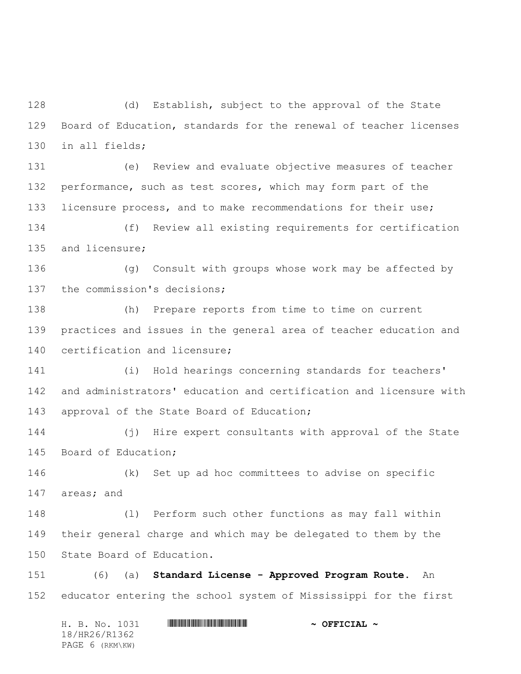(d) Establish, subject to the approval of the State Board of Education, standards for the renewal of teacher licenses in all fields;

 (e) Review and evaluate objective measures of teacher performance, such as test scores, which may form part of the licensure process, and to make recommendations for their use;

 (f) Review all existing requirements for certification and licensure;

 (g) Consult with groups whose work may be affected by the commission's decisions;

 (h) Prepare reports from time to time on current practices and issues in the general area of teacher education and certification and licensure;

 (i) Hold hearings concerning standards for teachers' and administrators' education and certification and licensure with approval of the State Board of Education;

 (j) Hire expert consultants with approval of the State Board of Education;

 (k) Set up ad hoc committees to advise on specific areas; and

 (l) Perform such other functions as may fall within their general charge and which may be delegated to them by the State Board of Education.

 (6) (a) **Standard License - Approved Program Route**. An educator entering the school system of Mississippi for the first

H. B. No. 1031 \*HR26/R1362\* **~ OFFICIAL ~** 18/HR26/R1362 PAGE 6 (RKM\KW)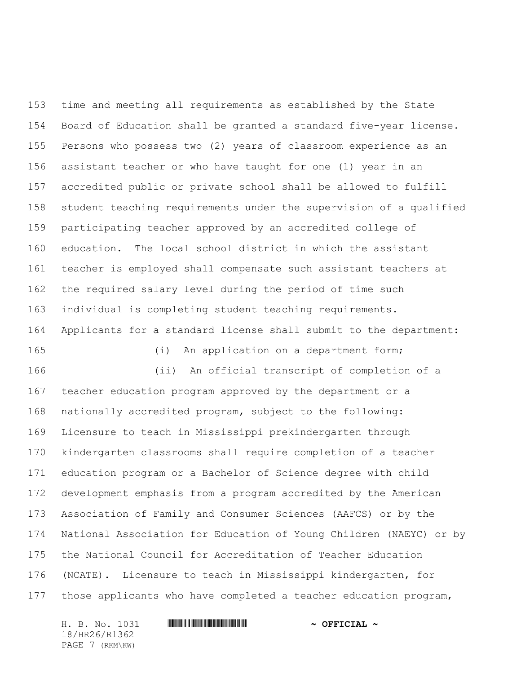time and meeting all requirements as established by the State Board of Education shall be granted a standard five-year license. Persons who possess two (2) years of classroom experience as an assistant teacher or who have taught for one (1) year in an accredited public or private school shall be allowed to fulfill student teaching requirements under the supervision of a qualified participating teacher approved by an accredited college of education. The local school district in which the assistant teacher is employed shall compensate such assistant teachers at the required salary level during the period of time such individual is completing student teaching requirements. Applicants for a standard license shall submit to the department: (i) An application on a department form; (ii) An official transcript of completion of a teacher education program approved by the department or a nationally accredited program, subject to the following: Licensure to teach in Mississippi prekindergarten through kindergarten classrooms shall require completion of a teacher education program or a Bachelor of Science degree with child development emphasis from a program accredited by the American Association of Family and Consumer Sciences (AAFCS) or by the National Association for Education of Young Children (NAEYC) or by the National Council for Accreditation of Teacher Education

 (NCATE). Licensure to teach in Mississippi kindergarten, for those applicants who have completed a teacher education program,

18/HR26/R1362 PAGE 7 (RKM\KW)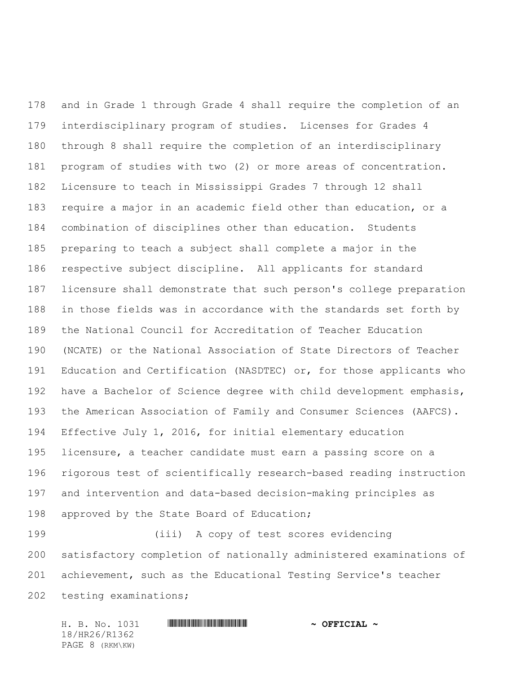and in Grade 1 through Grade 4 shall require the completion of an interdisciplinary program of studies. Licenses for Grades 4 through 8 shall require the completion of an interdisciplinary program of studies with two (2) or more areas of concentration. Licensure to teach in Mississippi Grades 7 through 12 shall require a major in an academic field other than education, or a combination of disciplines other than education. Students preparing to teach a subject shall complete a major in the respective subject discipline. All applicants for standard licensure shall demonstrate that such person's college preparation in those fields was in accordance with the standards set forth by the National Council for Accreditation of Teacher Education (NCATE) or the National Association of State Directors of Teacher Education and Certification (NASDTEC) or, for those applicants who have a Bachelor of Science degree with child development emphasis, the American Association of Family and Consumer Sciences (AAFCS). Effective July 1, 2016, for initial elementary education licensure, a teacher candidate must earn a passing score on a rigorous test of scientifically research-based reading instruction and intervention and data-based decision-making principles as 198 approved by the State Board of Education;

 (iii) A copy of test scores evidencing satisfactory completion of nationally administered examinations of achievement, such as the Educational Testing Service's teacher testing examinations;

H. B. No. 1031 \*HR26/R1362\* **~ OFFICIAL ~** 18/HR26/R1362 PAGE 8 (RKM\KW)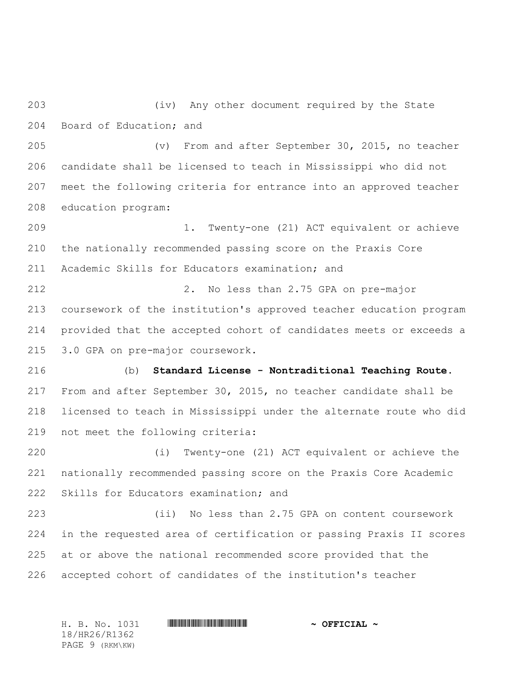(iv) Any other document required by the State Board of Education; and

 (v) From and after September 30, 2015, no teacher candidate shall be licensed to teach in Mississippi who did not meet the following criteria for entrance into an approved teacher education program:

 1. Twenty-one (21) ACT equivalent or achieve the nationally recommended passing score on the Praxis Core Academic Skills for Educators examination; and

 2. No less than 2.75 GPA on pre-major coursework of the institution's approved teacher education program provided that the accepted cohort of candidates meets or exceeds a 3.0 GPA on pre-major coursework.

 (b) **Standard License - Nontraditional Teaching Route**. From and after September 30, 2015, no teacher candidate shall be licensed to teach in Mississippi under the alternate route who did not meet the following criteria:

 (i) Twenty-one (21) ACT equivalent or achieve the nationally recommended passing score on the Praxis Core Academic Skills for Educators examination; and

 (ii) No less than 2.75 GPA on content coursework in the requested area of certification or passing Praxis II scores at or above the national recommended score provided that the accepted cohort of candidates of the institution's teacher

H. B. No. 1031 **. HR26/R1362 \* ~ OFFICIAL ~** 18/HR26/R1362 PAGE 9 (RKM\KW)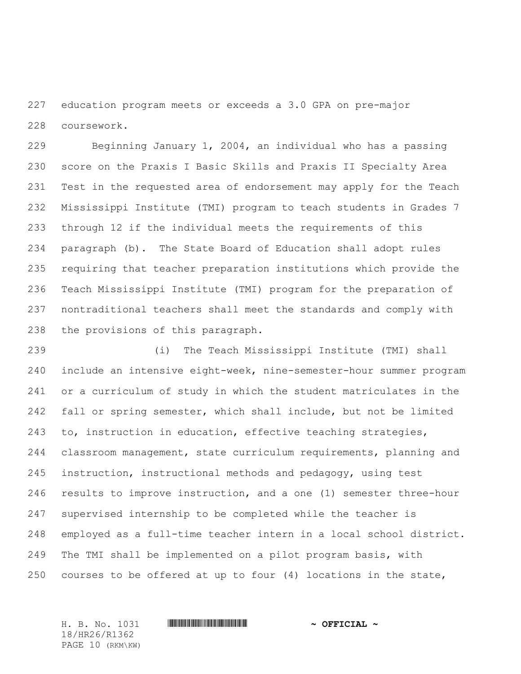education program meets or exceeds a 3.0 GPA on pre-major coursework.

 Beginning January 1, 2004, an individual who has a passing score on the Praxis I Basic Skills and Praxis II Specialty Area Test in the requested area of endorsement may apply for the Teach Mississippi Institute (TMI) program to teach students in Grades 7 through 12 if the individual meets the requirements of this paragraph (b). The State Board of Education shall adopt rules requiring that teacher preparation institutions which provide the Teach Mississippi Institute (TMI) program for the preparation of nontraditional teachers shall meet the standards and comply with the provisions of this paragraph.

 (i) The Teach Mississippi Institute (TMI) shall include an intensive eight-week, nine-semester-hour summer program or a curriculum of study in which the student matriculates in the fall or spring semester, which shall include, but not be limited to, instruction in education, effective teaching strategies, classroom management, state curriculum requirements, planning and instruction, instructional methods and pedagogy, using test results to improve instruction, and a one (1) semester three-hour supervised internship to be completed while the teacher is employed as a full-time teacher intern in a local school district. The TMI shall be implemented on a pilot program basis, with courses to be offered at up to four (4) locations in the state,

18/HR26/R1362 PAGE 10 (RKM\KW)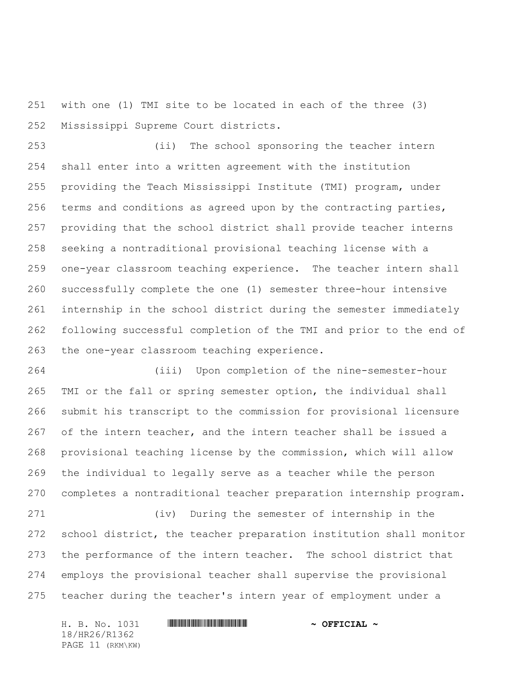with one (1) TMI site to be located in each of the three (3) Mississippi Supreme Court districts.

 (ii) The school sponsoring the teacher intern shall enter into a written agreement with the institution providing the Teach Mississippi Institute (TMI) program, under terms and conditions as agreed upon by the contracting parties, providing that the school district shall provide teacher interns seeking a nontraditional provisional teaching license with a one-year classroom teaching experience. The teacher intern shall successfully complete the one (1) semester three-hour intensive internship in the school district during the semester immediately following successful completion of the TMI and prior to the end of the one-year classroom teaching experience.

 (iii) Upon completion of the nine-semester-hour TMI or the fall or spring semester option, the individual shall submit his transcript to the commission for provisional licensure of the intern teacher, and the intern teacher shall be issued a provisional teaching license by the commission, which will allow the individual to legally serve as a teacher while the person completes a nontraditional teacher preparation internship program.

 (iv) During the semester of internship in the school district, the teacher preparation institution shall monitor the performance of the intern teacher. The school district that employs the provisional teacher shall supervise the provisional teacher during the teacher's intern year of employment under a

H. B. No. 1031 \*HR26/R1362\* **~ OFFICIAL ~** 18/HR26/R1362 PAGE 11 (RKM\KW)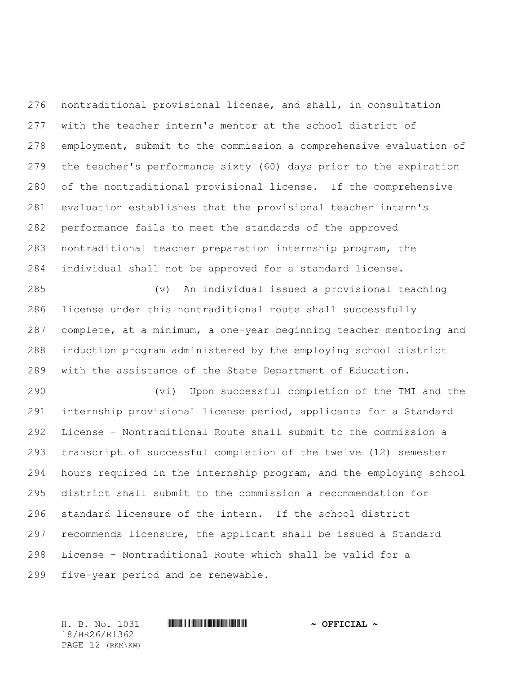nontraditional provisional license, and shall, in consultation with the teacher intern's mentor at the school district of employment, submit to the commission a comprehensive evaluation of the teacher's performance sixty (60) days prior to the expiration of the nontraditional provisional license. If the comprehensive evaluation establishes that the provisional teacher intern's performance fails to meet the standards of the approved nontraditional teacher preparation internship program, the individual shall not be approved for a standard license.

 (v) An individual issued a provisional teaching license under this nontraditional route shall successfully complete, at a minimum, a one-year beginning teacher mentoring and induction program administered by the employing school district with the assistance of the State Department of Education.

 (vi) Upon successful completion of the TMI and the internship provisional license period, applicants for a Standard License - Nontraditional Route shall submit to the commission a transcript of successful completion of the twelve (12) semester hours required in the internship program, and the employing school district shall submit to the commission a recommendation for standard licensure of the intern. If the school district recommends licensure, the applicant shall be issued a Standard License - Nontraditional Route which shall be valid for a five-year period and be renewable.

18/HR26/R1362 PAGE 12 (RKM\KW)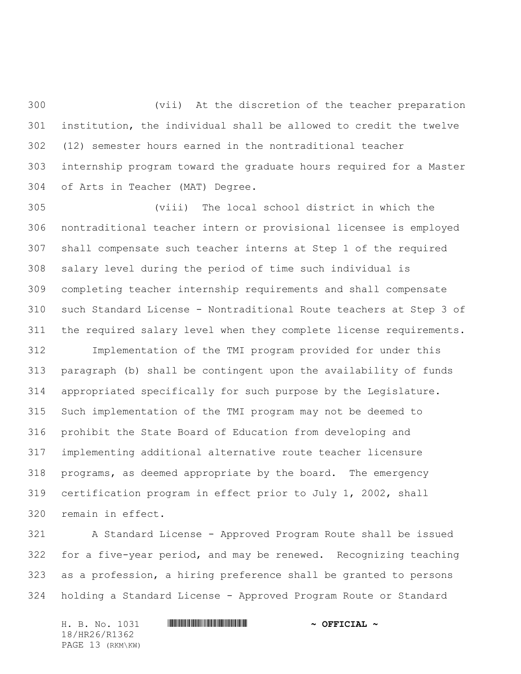(vii) At the discretion of the teacher preparation institution, the individual shall be allowed to credit the twelve (12) semester hours earned in the nontraditional teacher internship program toward the graduate hours required for a Master of Arts in Teacher (MAT) Degree.

 (viii) The local school district in which the nontraditional teacher intern or provisional licensee is employed shall compensate such teacher interns at Step 1 of the required salary level during the period of time such individual is completing teacher internship requirements and shall compensate such Standard License - Nontraditional Route teachers at Step 3 of the required salary level when they complete license requirements.

 Implementation of the TMI program provided for under this paragraph (b) shall be contingent upon the availability of funds appropriated specifically for such purpose by the Legislature. Such implementation of the TMI program may not be deemed to prohibit the State Board of Education from developing and implementing additional alternative route teacher licensure programs, as deemed appropriate by the board. The emergency certification program in effect prior to July 1, 2002, shall remain in effect.

 A Standard License - Approved Program Route shall be issued for a five-year period, and may be renewed. Recognizing teaching as a profession, a hiring preference shall be granted to persons holding a Standard License - Approved Program Route or Standard

18/HR26/R1362 PAGE 13 (RKM\KW)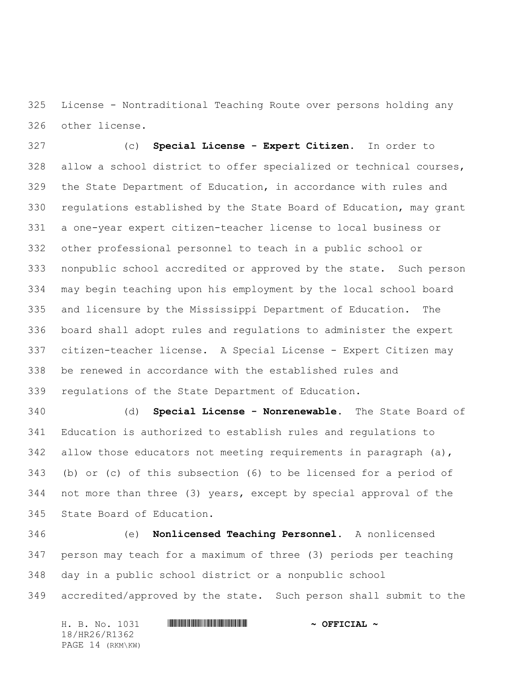License - Nontraditional Teaching Route over persons holding any other license.

 (c) **Special License - Expert Citizen**. In order to allow a school district to offer specialized or technical courses, the State Department of Education, in accordance with rules and regulations established by the State Board of Education, may grant a one-year expert citizen-teacher license to local business or other professional personnel to teach in a public school or nonpublic school accredited or approved by the state. Such person may begin teaching upon his employment by the local school board and licensure by the Mississippi Department of Education. The board shall adopt rules and regulations to administer the expert citizen-teacher license. A Special License - Expert Citizen may be renewed in accordance with the established rules and regulations of the State Department of Education.

 (d) **Special License - Nonrenewable.** The State Board of Education is authorized to establish rules and regulations to 342 allow those educators not meeting requirements in paragraph (a), (b) or (c) of this subsection (6) to be licensed for a period of not more than three (3) years, except by special approval of the State Board of Education.

 (e) **Nonlicensed Teaching Personnel.** A nonlicensed person may teach for a maximum of three (3) periods per teaching day in a public school district or a nonpublic school accredited/approved by the state. Such person shall submit to the

H. B. No. 1031 **HREGIAL WEIGHT THE SECOND ASSESSMENT OF SECOND**  $\sim$  **OFFICIAL**  $\sim$ 18/HR26/R1362 PAGE 14 (RKM\KW)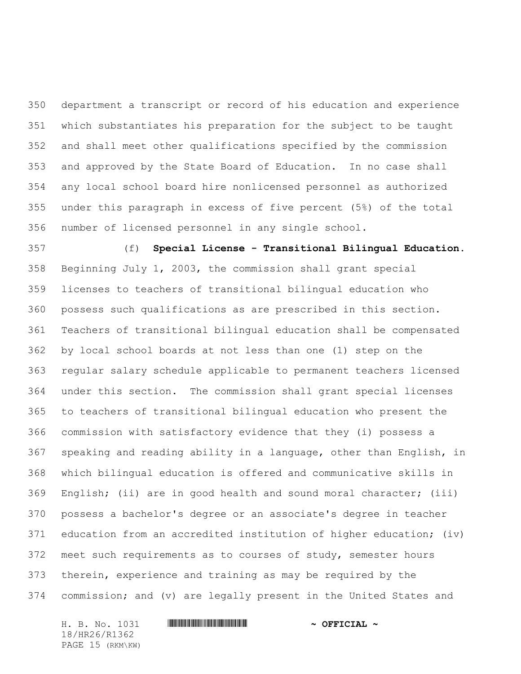department a transcript or record of his education and experience which substantiates his preparation for the subject to be taught and shall meet other qualifications specified by the commission and approved by the State Board of Education. In no case shall any local school board hire nonlicensed personnel as authorized under this paragraph in excess of five percent (5%) of the total number of licensed personnel in any single school.

 (f) **Special License - Transitional Bilingual Education.** Beginning July 1, 2003, the commission shall grant special licenses to teachers of transitional bilingual education who possess such qualifications as are prescribed in this section. Teachers of transitional bilingual education shall be compensated by local school boards at not less than one (1) step on the regular salary schedule applicable to permanent teachers licensed under this section. The commission shall grant special licenses to teachers of transitional bilingual education who present the commission with satisfactory evidence that they (i) possess a speaking and reading ability in a language, other than English, in which bilingual education is offered and communicative skills in English; (ii) are in good health and sound moral character; (iii) possess a bachelor's degree or an associate's degree in teacher education from an accredited institution of higher education; (iv) meet such requirements as to courses of study, semester hours therein, experience and training as may be required by the commission; and (v) are legally present in the United States and

H. B. No. 1031 \*HR26/R1362\* **~ OFFICIAL ~** 18/HR26/R1362 PAGE 15 (RKM\KW)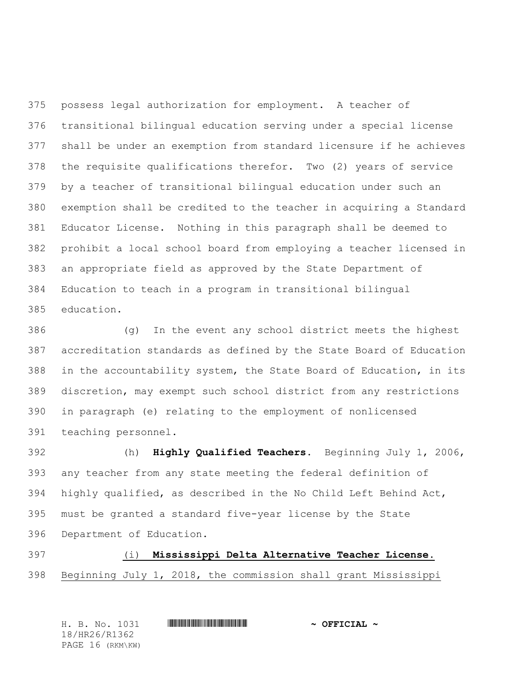possess legal authorization for employment. A teacher of transitional bilingual education serving under a special license shall be under an exemption from standard licensure if he achieves the requisite qualifications therefor. Two (2) years of service by a teacher of transitional bilingual education under such an exemption shall be credited to the teacher in acquiring a Standard Educator License. Nothing in this paragraph shall be deemed to prohibit a local school board from employing a teacher licensed in an appropriate field as approved by the State Department of Education to teach in a program in transitional bilingual education.

 (g) In the event any school district meets the highest accreditation standards as defined by the State Board of Education in the accountability system, the State Board of Education, in its discretion, may exempt such school district from any restrictions in paragraph (e) relating to the employment of nonlicensed teaching personnel.

 (h) **Highly Qualified Teachers.** Beginning July 1, 2006, any teacher from any state meeting the federal definition of highly qualified, as described in the No Child Left Behind Act, must be granted a standard five-year license by the State Department of Education.

(i) **Mississippi Delta Alternative Teacher License.** 

Beginning July 1, 2018, the commission shall grant Mississippi

| H. B. No. 1031   | $\sim$ OFFICIAL $\sim$ |
|------------------|------------------------|
| 18/HR26/R1362    |                        |
| PAGE 16 (RKM\KW) |                        |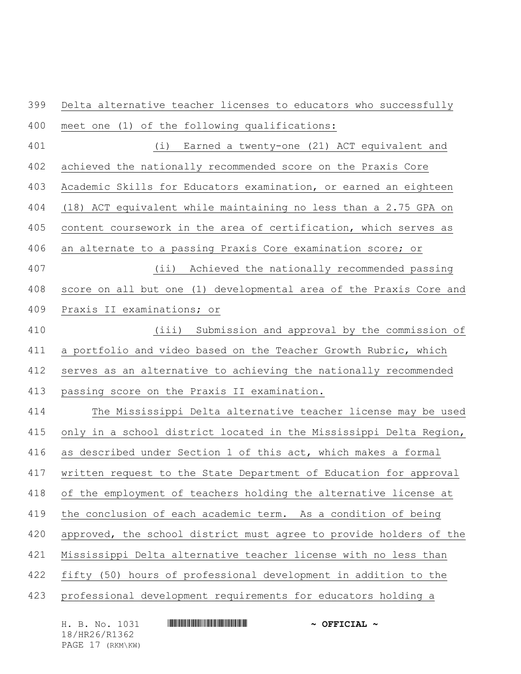Delta alternative teacher licenses to educators who successfully meet one (1) of the following qualifications:

 (i) Earned a twenty-one (21) ACT equivalent and achieved the nationally recommended score on the Praxis Core Academic Skills for Educators examination, or earned an eighteen (18) ACT equivalent while maintaining no less than a 2.75 GPA on content coursework in the area of certification, which serves as an alternate to a passing Praxis Core examination score; or (ii) Achieved the nationally recommended passing score on all but one (1) developmental area of the Praxis Core and

Praxis II examinations; or

 (iii) Submission and approval by the commission of a portfolio and video based on the Teacher Growth Rubric, which serves as an alternative to achieving the nationally recommended passing score on the Praxis II examination.

 The Mississippi Delta alternative teacher license may be used only in a school district located in the Mississippi Delta Region, as described under Section 1 of this act, which makes a formal written request to the State Department of Education for approval of the employment of teachers holding the alternative license at the conclusion of each academic term. As a condition of being approved, the school district must agree to provide holders of the Mississippi Delta alternative teacher license with no less than fifty (50) hours of professional development in addition to the professional development requirements for educators holding a

H. B. No. 1031 **HREGIAL WEIGHT THE SECOND ASSESSMENT OF SECOND**  $\sim$  **OFFICIAL**  $\sim$ 18/HR26/R1362 PAGE 17 (RKM\KW)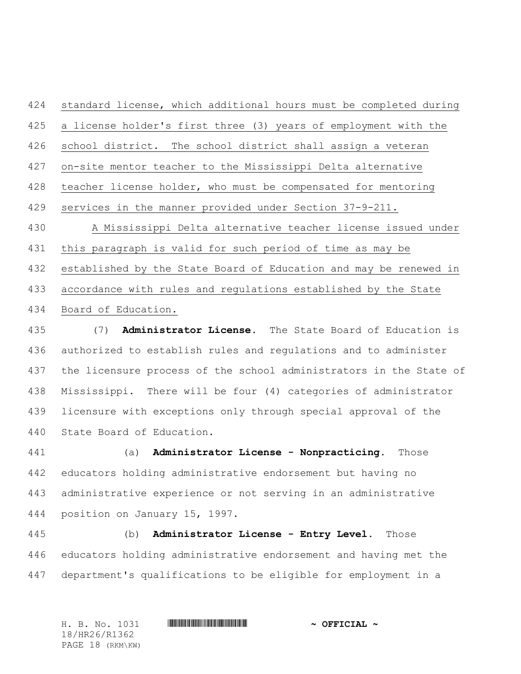standard license, which additional hours must be completed during a license holder's first three (3) years of employment with the school district. The school district shall assign a veteran on-site mentor teacher to the Mississippi Delta alternative teacher license holder, who must be compensated for mentoring services in the manner provided under Section 37-9-211. A Mississippi Delta alternative teacher license issued under this paragraph is valid for such period of time as may be established by the State Board of Education and may be renewed in accordance with rules and regulations established by the State Board of Education.

 (7) **Administrator License.** The State Board of Education is authorized to establish rules and regulations and to administer the licensure process of the school administrators in the State of Mississippi. There will be four (4) categories of administrator licensure with exceptions only through special approval of the State Board of Education.

 (a) **Administrator License - Nonpracticing.** Those educators holding administrative endorsement but having no administrative experience or not serving in an administrative position on January 15, 1997.

 (b) **Administrator License - Entry Level.** Those educators holding administrative endorsement and having met the department's qualifications to be eligible for employment in a

H. B. No. 1031 \*HR26/R1362\* **~ OFFICIAL ~** 18/HR26/R1362 PAGE 18 (RKM\KW)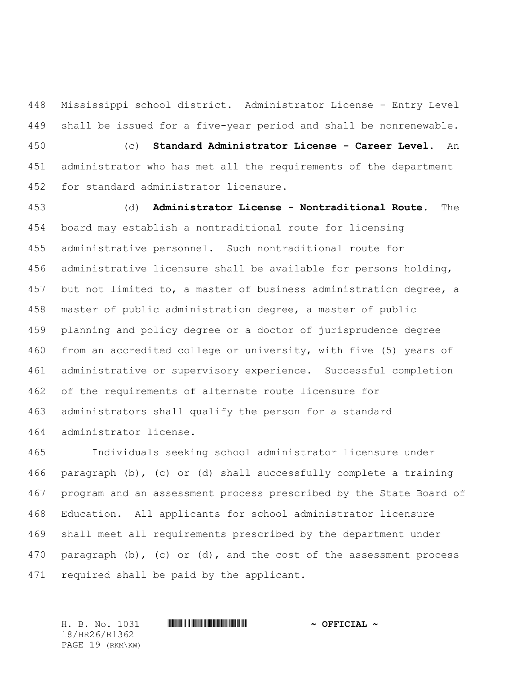Mississippi school district. Administrator License - Entry Level shall be issued for a five-year period and shall be nonrenewable. (c) **Standard Administrator License - Career Level.** An administrator who has met all the requirements of the department for standard administrator licensure.

 (d) **Administrator License - Nontraditional Route.** The board may establish a nontraditional route for licensing administrative personnel. Such nontraditional route for administrative licensure shall be available for persons holding, 457 but not limited to, a master of business administration degree, a master of public administration degree, a master of public planning and policy degree or a doctor of jurisprudence degree from an accredited college or university, with five (5) years of administrative or supervisory experience. Successful completion of the requirements of alternate route licensure for administrators shall qualify the person for a standard administrator license.

 Individuals seeking school administrator licensure under paragraph (b), (c) or (d) shall successfully complete a training program and an assessment process prescribed by the State Board of Education. All applicants for school administrator licensure shall meet all requirements prescribed by the department under paragraph (b), (c) or (d), and the cost of the assessment process required shall be paid by the applicant.

18/HR26/R1362 PAGE 19 (RKM\KW)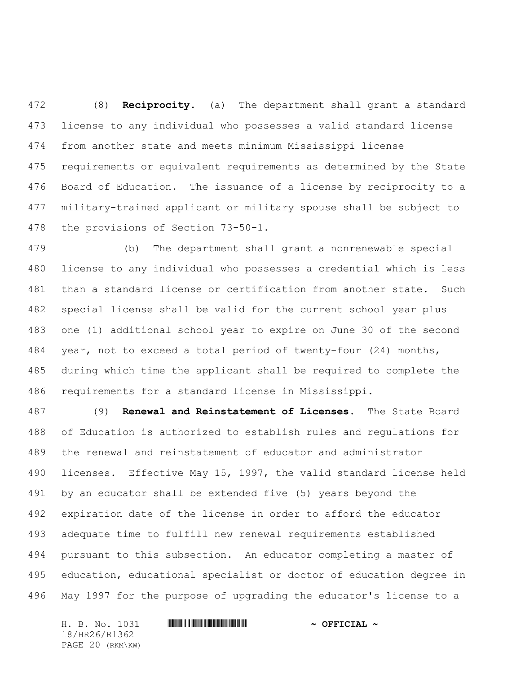(8) **Reciprocity.** (a) The department shall grant a standard license to any individual who possesses a valid standard license from another state and meets minimum Mississippi license requirements or equivalent requirements as determined by the State Board of Education. The issuance of a license by reciprocity to a military-trained applicant or military spouse shall be subject to the provisions of Section 73-50-1.

 (b) The department shall grant a nonrenewable special license to any individual who possesses a credential which is less than a standard license or certification from another state. Such special license shall be valid for the current school year plus one (1) additional school year to expire on June 30 of the second year, not to exceed a total period of twenty-four (24) months, during which time the applicant shall be required to complete the requirements for a standard license in Mississippi.

 (9) **Renewal and Reinstatement of Licenses.** The State Board of Education is authorized to establish rules and regulations for the renewal and reinstatement of educator and administrator licenses. Effective May 15, 1997, the valid standard license held by an educator shall be extended five (5) years beyond the expiration date of the license in order to afford the educator adequate time to fulfill new renewal requirements established pursuant to this subsection. An educator completing a master of education, educational specialist or doctor of education degree in May 1997 for the purpose of upgrading the educator's license to a

18/HR26/R1362 PAGE 20 (RKM\KW)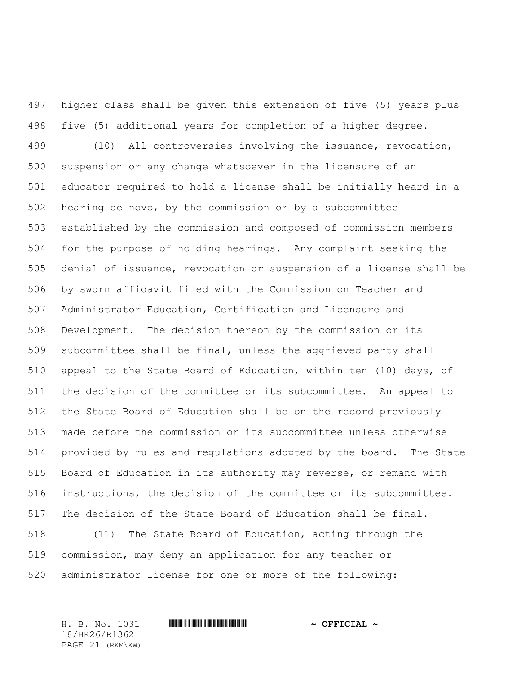higher class shall be given this extension of five (5) years plus five (5) additional years for completion of a higher degree. (10) All controversies involving the issuance, revocation, suspension or any change whatsoever in the licensure of an educator required to hold a license shall be initially heard in a hearing de novo, by the commission or by a subcommittee established by the commission and composed of commission members for the purpose of holding hearings. Any complaint seeking the denial of issuance, revocation or suspension of a license shall be by sworn affidavit filed with the Commission on Teacher and Administrator Education, Certification and Licensure and Development. The decision thereon by the commission or its subcommittee shall be final, unless the aggrieved party shall appeal to the State Board of Education, within ten (10) days, of the decision of the committee or its subcommittee. An appeal to the State Board of Education shall be on the record previously made before the commission or its subcommittee unless otherwise provided by rules and regulations adopted by the board. The State Board of Education in its authority may reverse, or remand with instructions, the decision of the committee or its subcommittee. The decision of the State Board of Education shall be final. (11) The State Board of Education, acting through the commission, may deny an application for any teacher or

administrator license for one or more of the following:

18/HR26/R1362 PAGE 21 (RKM\KW)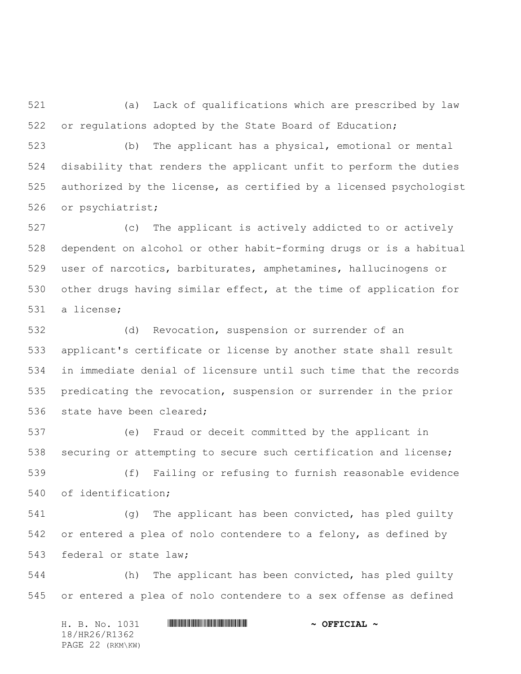(a) Lack of qualifications which are prescribed by law or regulations adopted by the State Board of Education;

 (b) The applicant has a physical, emotional or mental disability that renders the applicant unfit to perform the duties authorized by the license, as certified by a licensed psychologist or psychiatrist;

 (c) The applicant is actively addicted to or actively dependent on alcohol or other habit-forming drugs or is a habitual user of narcotics, barbiturates, amphetamines, hallucinogens or other drugs having similar effect, at the time of application for a license;

 (d) Revocation, suspension or surrender of an applicant's certificate or license by another state shall result in immediate denial of licensure until such time that the records predicating the revocation, suspension or surrender in the prior 536 state have been cleared;

 (e) Fraud or deceit committed by the applicant in securing or attempting to secure such certification and license;

 (f) Failing or refusing to furnish reasonable evidence of identification;

 (g) The applicant has been convicted, has pled guilty or entered a plea of nolo contendere to a felony, as defined by federal or state law;

 (h) The applicant has been convicted, has pled guilty or entered a plea of nolo contendere to a sex offense as defined

H. B. No. 1031 \*HR26/R1362\* **~ OFFICIAL ~** 18/HR26/R1362 PAGE 22 (RKM\KW)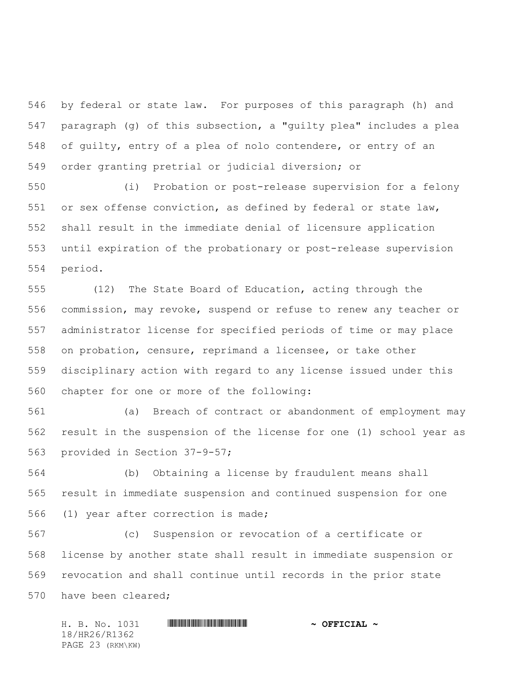by federal or state law. For purposes of this paragraph (h) and paragraph (g) of this subsection, a "guilty plea" includes a plea of guilty, entry of a plea of nolo contendere, or entry of an order granting pretrial or judicial diversion; or

 (i) Probation or post-release supervision for a felony or sex offense conviction, as defined by federal or state law, shall result in the immediate denial of licensure application until expiration of the probationary or post-release supervision period.

 (12) The State Board of Education, acting through the commission, may revoke, suspend or refuse to renew any teacher or administrator license for specified periods of time or may place on probation, censure, reprimand a licensee, or take other disciplinary action with regard to any license issued under this chapter for one or more of the following:

 (a) Breach of contract or abandonment of employment may result in the suspension of the license for one (1) school year as provided in Section 37-9-57;

 (b) Obtaining a license by fraudulent means shall result in immediate suspension and continued suspension for one (1) year after correction is made;

 (c) Suspension or revocation of a certificate or license by another state shall result in immediate suspension or revocation and shall continue until records in the prior state have been cleared;

H. B. No. 1031 \*HR26/R1362\* **~ OFFICIAL ~** 18/HR26/R1362 PAGE 23 (RKM\KW)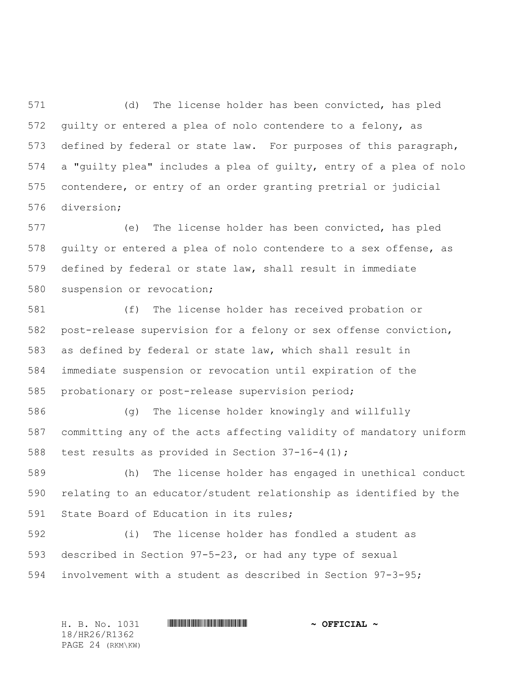(d) The license holder has been convicted, has pled guilty or entered a plea of nolo contendere to a felony, as defined by federal or state law. For purposes of this paragraph, a "guilty plea" includes a plea of guilty, entry of a plea of nolo contendere, or entry of an order granting pretrial or judicial diversion;

 (e) The license holder has been convicted, has pled guilty or entered a plea of nolo contendere to a sex offense, as defined by federal or state law, shall result in immediate suspension or revocation;

 (f) The license holder has received probation or post-release supervision for a felony or sex offense conviction, as defined by federal or state law, which shall result in immediate suspension or revocation until expiration of the probationary or post-release supervision period;

 (g) The license holder knowingly and willfully committing any of the acts affecting validity of mandatory uniform test results as provided in Section 37-16-4(1);

 (h) The license holder has engaged in unethical conduct relating to an educator/student relationship as identified by the State Board of Education in its rules;

 (i) The license holder has fondled a student as described in Section 97-5-23, or had any type of sexual involvement with a student as described in Section 97-3-95;

H. B. No. 1031 **. HR26/R1362 \* ~ OFFICIAL ~** 18/HR26/R1362 PAGE 24 (RKM\KW)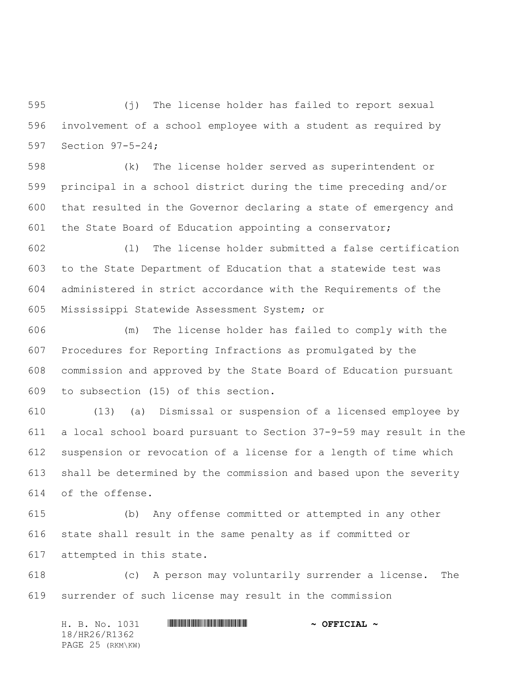(j) The license holder has failed to report sexual involvement of a school employee with a student as required by Section 97-5-24;

 (k) The license holder served as superintendent or principal in a school district during the time preceding and/or that resulted in the Governor declaring a state of emergency and the State Board of Education appointing a conservator;

 (l) The license holder submitted a false certification to the State Department of Education that a statewide test was administered in strict accordance with the Requirements of the Mississippi Statewide Assessment System; or

 (m) The license holder has failed to comply with the Procedures for Reporting Infractions as promulgated by the commission and approved by the State Board of Education pursuant to subsection (15) of this section.

 (13) (a) Dismissal or suspension of a licensed employee by a local school board pursuant to Section 37-9-59 may result in the suspension or revocation of a license for a length of time which shall be determined by the commission and based upon the severity of the offense.

 (b) Any offense committed or attempted in any other state shall result in the same penalty as if committed or attempted in this state.

 (c) A person may voluntarily surrender a license. The surrender of such license may result in the commission

H. B. No. 1031 \*HR26/R1362\* **~ OFFICIAL ~** 18/HR26/R1362 PAGE 25 (RKM\KW)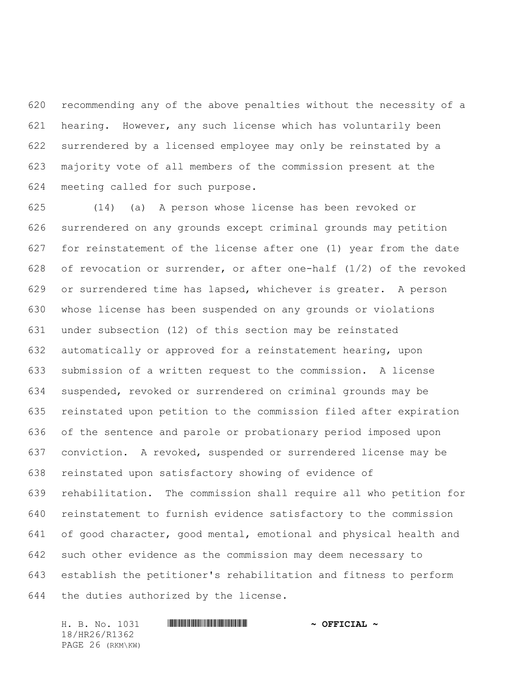recommending any of the above penalties without the necessity of a hearing. However, any such license which has voluntarily been surrendered by a licensed employee may only be reinstated by a majority vote of all members of the commission present at the meeting called for such purpose.

 (14) (a) A person whose license has been revoked or surrendered on any grounds except criminal grounds may petition for reinstatement of the license after one (1) year from the date 628 of revocation or surrender, or after one-half  $(1/2)$  of the revoked or surrendered time has lapsed, whichever is greater. A person whose license has been suspended on any grounds or violations under subsection (12) of this section may be reinstated automatically or approved for a reinstatement hearing, upon submission of a written request to the commission. A license suspended, revoked or surrendered on criminal grounds may be reinstated upon petition to the commission filed after expiration of the sentence and parole or probationary period imposed upon conviction. A revoked, suspended or surrendered license may be reinstated upon satisfactory showing of evidence of rehabilitation. The commission shall require all who petition for reinstatement to furnish evidence satisfactory to the commission of good character, good mental, emotional and physical health and such other evidence as the commission may deem necessary to establish the petitioner's rehabilitation and fitness to perform the duties authorized by the license.

18/HR26/R1362 PAGE 26 (RKM\KW)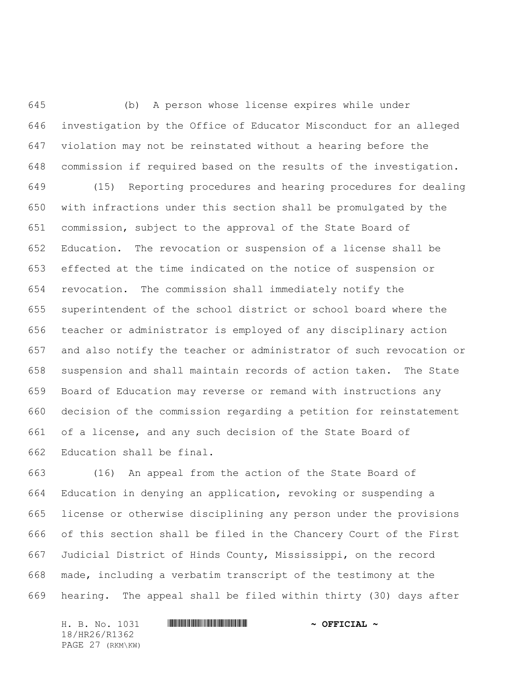(b) A person whose license expires while under investigation by the Office of Educator Misconduct for an alleged violation may not be reinstated without a hearing before the commission if required based on the results of the investigation.

 (15) Reporting procedures and hearing procedures for dealing with infractions under this section shall be promulgated by the commission, subject to the approval of the State Board of Education. The revocation or suspension of a license shall be effected at the time indicated on the notice of suspension or revocation. The commission shall immediately notify the superintendent of the school district or school board where the teacher or administrator is employed of any disciplinary action and also notify the teacher or administrator of such revocation or suspension and shall maintain records of action taken. The State Board of Education may reverse or remand with instructions any decision of the commission regarding a petition for reinstatement of a license, and any such decision of the State Board of Education shall be final.

 (16) An appeal from the action of the State Board of Education in denying an application, revoking or suspending a license or otherwise disciplining any person under the provisions of this section shall be filed in the Chancery Court of the First Judicial District of Hinds County, Mississippi, on the record made, including a verbatim transcript of the testimony at the hearing. The appeal shall be filed within thirty (30) days after

H. B. No. 1031 \*HR26/R1362\* **~ OFFICIAL ~** 18/HR26/R1362 PAGE 27 (RKM\KW)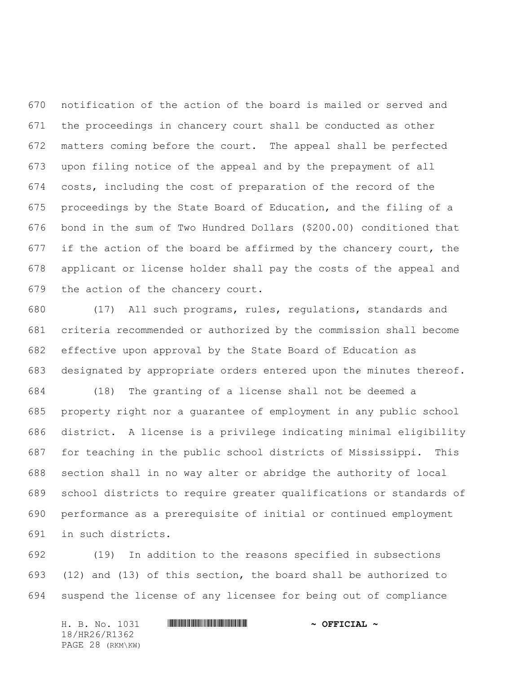notification of the action of the board is mailed or served and the proceedings in chancery court shall be conducted as other matters coming before the court. The appeal shall be perfected upon filing notice of the appeal and by the prepayment of all costs, including the cost of preparation of the record of the proceedings by the State Board of Education, and the filing of a bond in the sum of Two Hundred Dollars (\$200.00) conditioned that 677 if the action of the board be affirmed by the chancery court, the applicant or license holder shall pay the costs of the appeal and the action of the chancery court.

 (17) All such programs, rules, regulations, standards and criteria recommended or authorized by the commission shall become effective upon approval by the State Board of Education as designated by appropriate orders entered upon the minutes thereof.

 (18) The granting of a license shall not be deemed a property right nor a guarantee of employment in any public school district. A license is a privilege indicating minimal eligibility for teaching in the public school districts of Mississippi. This section shall in no way alter or abridge the authority of local school districts to require greater qualifications or standards of performance as a prerequisite of initial or continued employment in such districts.

 (19) In addition to the reasons specified in subsections (12) and (13) of this section, the board shall be authorized to suspend the license of any licensee for being out of compliance

H. B. No. 1031 \*HR26/R1362\* **~ OFFICIAL ~** 18/HR26/R1362 PAGE 28 (RKM\KW)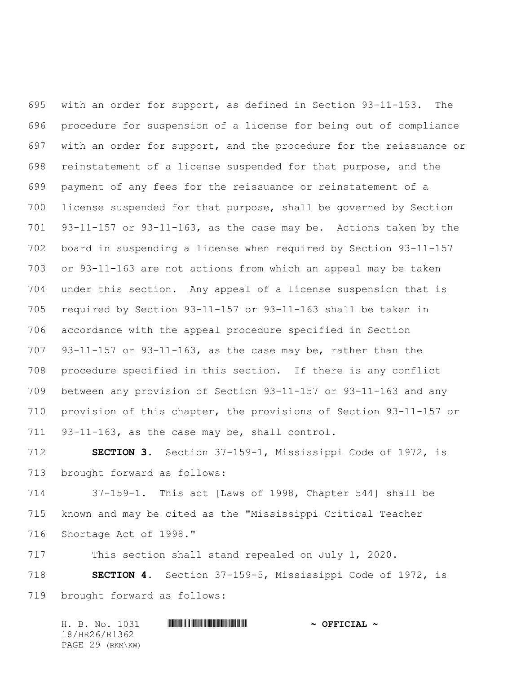with an order for support, as defined in Section 93-11-153. The procedure for suspension of a license for being out of compliance with an order for support, and the procedure for the reissuance or reinstatement of a license suspended for that purpose, and the payment of any fees for the reissuance or reinstatement of a license suspended for that purpose, shall be governed by Section 93-11-157 or 93-11-163, as the case may be. Actions taken by the board in suspending a license when required by Section 93-11-157 or 93-11-163 are not actions from which an appeal may be taken under this section. Any appeal of a license suspension that is required by Section 93-11-157 or 93-11-163 shall be taken in accordance with the appeal procedure specified in Section 93-11-157 or 93-11-163, as the case may be, rather than the procedure specified in this section. If there is any conflict between any provision of Section 93-11-157 or 93-11-163 and any provision of this chapter, the provisions of Section 93-11-157 or 93-11-163, as the case may be, shall control.

 **SECTION 3.** Section 37-159-1, Mississippi Code of 1972, is brought forward as follows:

 37-159-1. This act [Laws of 1998, Chapter 544] shall be known and may be cited as the "Mississippi Critical Teacher Shortage Act of 1998."

This section shall stand repealed on July 1, 2020.

 **SECTION 4.** Section 37-159-5, Mississippi Code of 1972, is brought forward as follows:

H. B. No. 1031 \*HR26/R1362\* **~ OFFICIAL ~** 18/HR26/R1362 PAGE 29 (RKM\KW)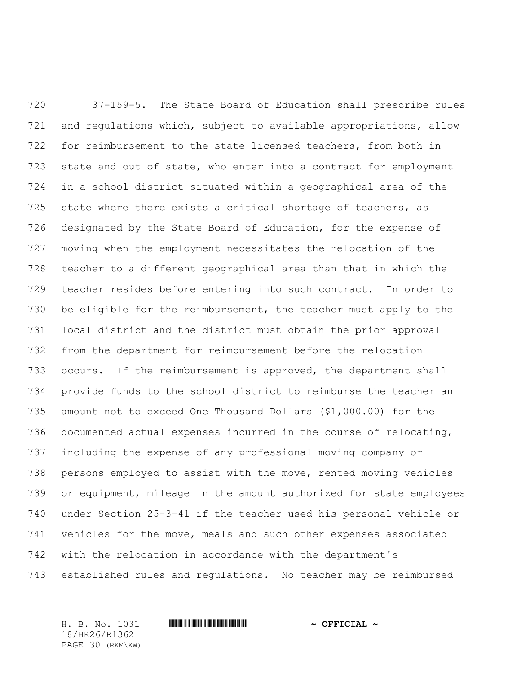37-159-5. The State Board of Education shall prescribe rules and regulations which, subject to available appropriations, allow for reimbursement to the state licensed teachers, from both in 723 state and out of state, who enter into a contract for employment in a school district situated within a geographical area of the state where there exists a critical shortage of teachers, as designated by the State Board of Education, for the expense of moving when the employment necessitates the relocation of the teacher to a different geographical area than that in which the teacher resides before entering into such contract. In order to be eligible for the reimbursement, the teacher must apply to the local district and the district must obtain the prior approval from the department for reimbursement before the relocation occurs. If the reimbursement is approved, the department shall provide funds to the school district to reimburse the teacher an amount not to exceed One Thousand Dollars (\$1,000.00) for the documented actual expenses incurred in the course of relocating, including the expense of any professional moving company or persons employed to assist with the move, rented moving vehicles or equipment, mileage in the amount authorized for state employees under Section 25-3-41 if the teacher used his personal vehicle or vehicles for the move, meals and such other expenses associated with the relocation in accordance with the department's established rules and regulations. No teacher may be reimbursed

18/HR26/R1362 PAGE 30 (RKM\KW)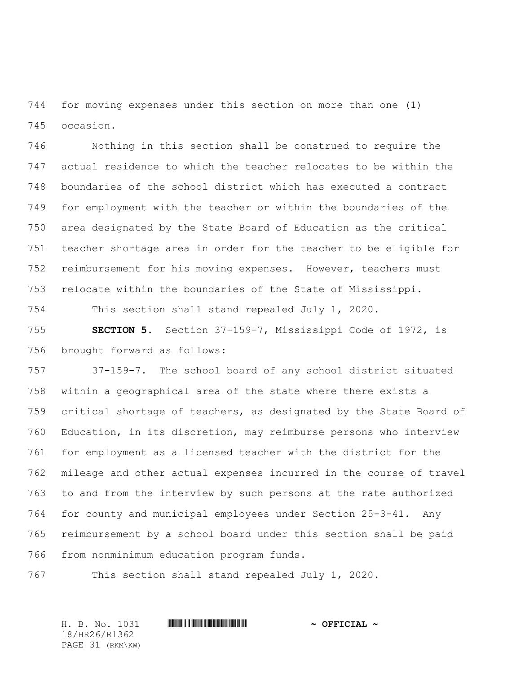for moving expenses under this section on more than one (1) occasion.

 Nothing in this section shall be construed to require the actual residence to which the teacher relocates to be within the boundaries of the school district which has executed a contract for employment with the teacher or within the boundaries of the area designated by the State Board of Education as the critical teacher shortage area in order for the teacher to be eligible for reimbursement for his moving expenses. However, teachers must relocate within the boundaries of the State of Mississippi.

This section shall stand repealed July 1, 2020.

 **SECTION 5.** Section 37-159-7, Mississippi Code of 1972, is brought forward as follows:

 37-159-7. The school board of any school district situated within a geographical area of the state where there exists a critical shortage of teachers, as designated by the State Board of Education, in its discretion, may reimburse persons who interview for employment as a licensed teacher with the district for the mileage and other actual expenses incurred in the course of travel to and from the interview by such persons at the rate authorized for county and municipal employees under Section 25-3-41. Any reimbursement by a school board under this section shall be paid from nonminimum education program funds.

This section shall stand repealed July 1, 2020.

H. B. No. 1031 **. HR26/R1362 \* ~ OFFICIAL ~** 18/HR26/R1362 PAGE 31 (RKM\KW)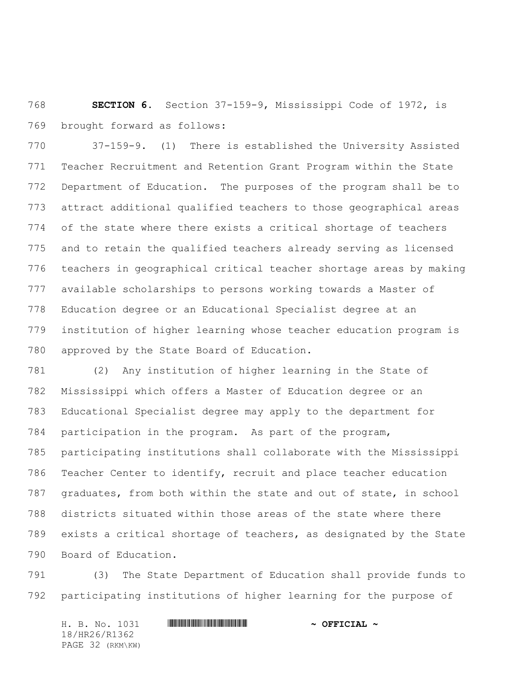**SECTION 6.** Section 37-159-9, Mississippi Code of 1972, is brought forward as follows:

 37-159-9. (1) There is established the University Assisted Teacher Recruitment and Retention Grant Program within the State Department of Education. The purposes of the program shall be to attract additional qualified teachers to those geographical areas of the state where there exists a critical shortage of teachers and to retain the qualified teachers already serving as licensed teachers in geographical critical teacher shortage areas by making available scholarships to persons working towards a Master of Education degree or an Educational Specialist degree at an institution of higher learning whose teacher education program is approved by the State Board of Education.

 (2) Any institution of higher learning in the State of Mississippi which offers a Master of Education degree or an Educational Specialist degree may apply to the department for participation in the program. As part of the program, participating institutions shall collaborate with the Mississippi Teacher Center to identify, recruit and place teacher education graduates, from both within the state and out of state, in school districts situated within those areas of the state where there exists a critical shortage of teachers, as designated by the State Board of Education.

 (3) The State Department of Education shall provide funds to participating institutions of higher learning for the purpose of

H. B. No. 1031 **HREGIAL WEIGHT THE SECOND ASSESSMENT OF SECOND**  $\sim$  **OFFICIAL**  $\sim$ 18/HR26/R1362 PAGE 32 (RKM\KW)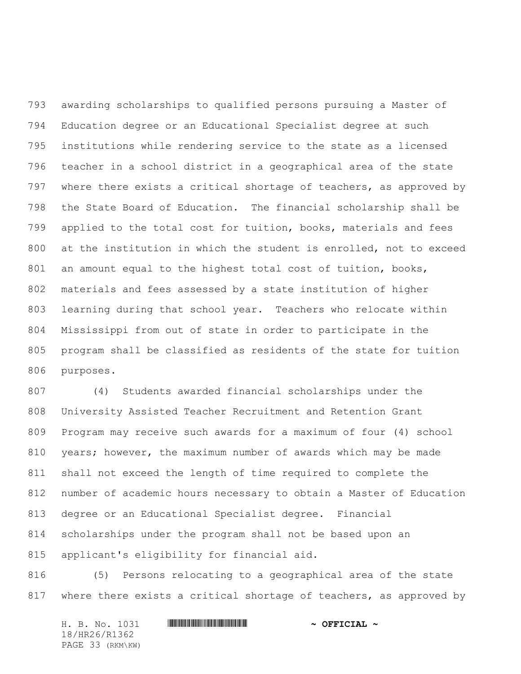awarding scholarships to qualified persons pursuing a Master of Education degree or an Educational Specialist degree at such institutions while rendering service to the state as a licensed teacher in a school district in a geographical area of the state where there exists a critical shortage of teachers, as approved by the State Board of Education. The financial scholarship shall be applied to the total cost for tuition, books, materials and fees at the institution in which the student is enrolled, not to exceed 801 an amount equal to the highest total cost of tuition, books, materials and fees assessed by a state institution of higher learning during that school year. Teachers who relocate within Mississippi from out of state in order to participate in the program shall be classified as residents of the state for tuition purposes.

 (4) Students awarded financial scholarships under the University Assisted Teacher Recruitment and Retention Grant Program may receive such awards for a maximum of four (4) school years; however, the maximum number of awards which may be made shall not exceed the length of time required to complete the number of academic hours necessary to obtain a Master of Education degree or an Educational Specialist degree. Financial scholarships under the program shall not be based upon an applicant's eligibility for financial aid.

 (5) Persons relocating to a geographical area of the state where there exists a critical shortage of teachers, as approved by

| H. B. No. 1031   | $\sim$ OFFICIAL $\sim$ |
|------------------|------------------------|
| 18/HR26/R1362    |                        |
| PAGE 33 (RKM\KW) |                        |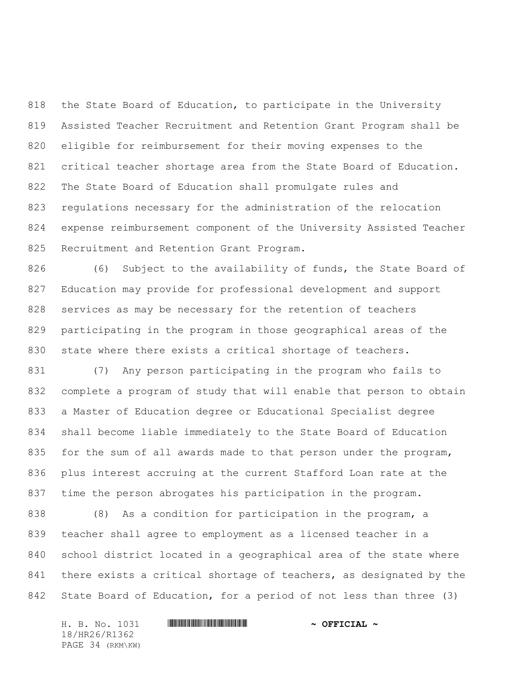the State Board of Education, to participate in the University Assisted Teacher Recruitment and Retention Grant Program shall be eligible for reimbursement for their moving expenses to the critical teacher shortage area from the State Board of Education. The State Board of Education shall promulgate rules and regulations necessary for the administration of the relocation expense reimbursement component of the University Assisted Teacher Recruitment and Retention Grant Program.

 (6) Subject to the availability of funds, the State Board of Education may provide for professional development and support services as may be necessary for the retention of teachers participating in the program in those geographical areas of the 830 state where there exists a critical shortage of teachers.

 (7) Any person participating in the program who fails to complete a program of study that will enable that person to obtain a Master of Education degree or Educational Specialist degree shall become liable immediately to the State Board of Education 835 for the sum of all awards made to that person under the program, plus interest accruing at the current Stafford Loan rate at the time the person abrogates his participation in the program.

 (8) As a condition for participation in the program, a teacher shall agree to employment as a licensed teacher in a school district located in a geographical area of the state where there exists a critical shortage of teachers, as designated by the State Board of Education, for a period of not less than three (3)

H. B. No. 1031 \*HR26/R1362\* **~ OFFICIAL ~** 18/HR26/R1362 PAGE 34 (RKM\KW)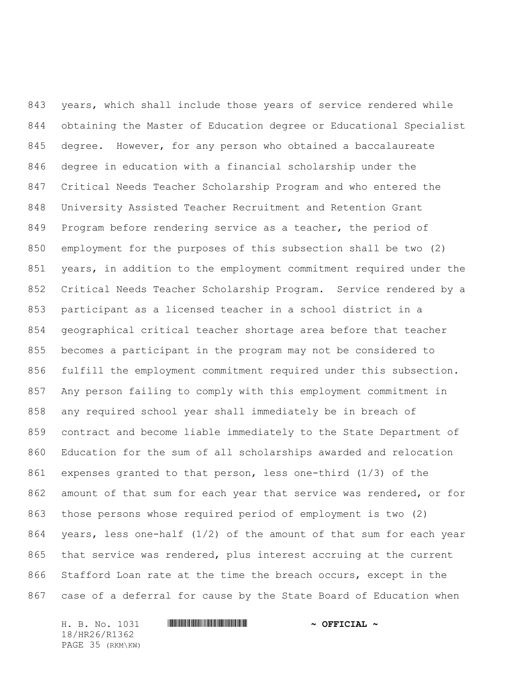years, which shall include those years of service rendered while obtaining the Master of Education degree or Educational Specialist degree. However, for any person who obtained a baccalaureate degree in education with a financial scholarship under the Critical Needs Teacher Scholarship Program and who entered the University Assisted Teacher Recruitment and Retention Grant 849 Program before rendering service as a teacher, the period of employment for the purposes of this subsection shall be two (2) years, in addition to the employment commitment required under the Critical Needs Teacher Scholarship Program. Service rendered by a participant as a licensed teacher in a school district in a geographical critical teacher shortage area before that teacher becomes a participant in the program may not be considered to fulfill the employment commitment required under this subsection. Any person failing to comply with this employment commitment in any required school year shall immediately be in breach of contract and become liable immediately to the State Department of Education for the sum of all scholarships awarded and relocation expenses granted to that person, less one-third (1/3) of the 862 amount of that sum for each year that service was rendered, or for those persons whose required period of employment is two (2) years, less one-half (1/2) of the amount of that sum for each year that service was rendered, plus interest accruing at the current Stafford Loan rate at the time the breach occurs, except in the case of a deferral for cause by the State Board of Education when

18/HR26/R1362 PAGE 35 (RKM\KW)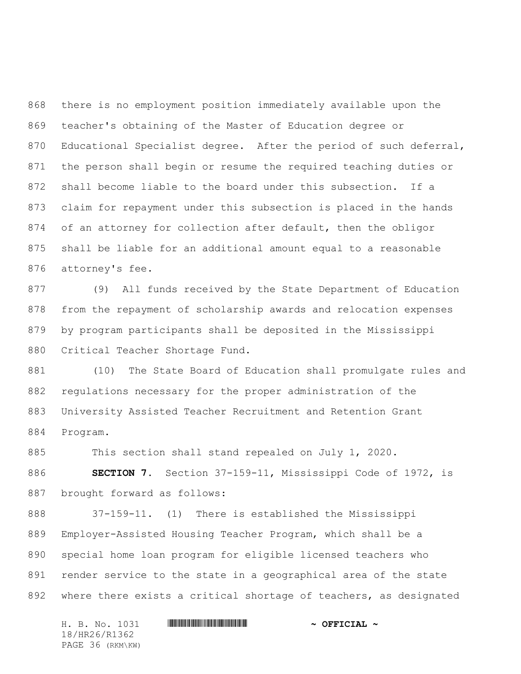there is no employment position immediately available upon the teacher's obtaining of the Master of Education degree or Educational Specialist degree. After the period of such deferral, the person shall begin or resume the required teaching duties or shall become liable to the board under this subsection. If a claim for repayment under this subsection is placed in the hands of an attorney for collection after default, then the obligor shall be liable for an additional amount equal to a reasonable attorney's fee.

 (9) All funds received by the State Department of Education from the repayment of scholarship awards and relocation expenses by program participants shall be deposited in the Mississippi Critical Teacher Shortage Fund.

 (10) The State Board of Education shall promulgate rules and regulations necessary for the proper administration of the University Assisted Teacher Recruitment and Retention Grant Program.

885 This section shall stand repealed on July 1, 2020.

 **SECTION 7.** Section 37-159-11, Mississippi Code of 1972, is brought forward as follows:

 37-159-11. (1) There is established the Mississippi Employer-Assisted Housing Teacher Program, which shall be a special home loan program for eligible licensed teachers who render service to the state in a geographical area of the state where there exists a critical shortage of teachers, as designated

H. B. No. 1031 \*HR26/R1362\* **~ OFFICIAL ~** 18/HR26/R1362 PAGE 36 (RKM\KW)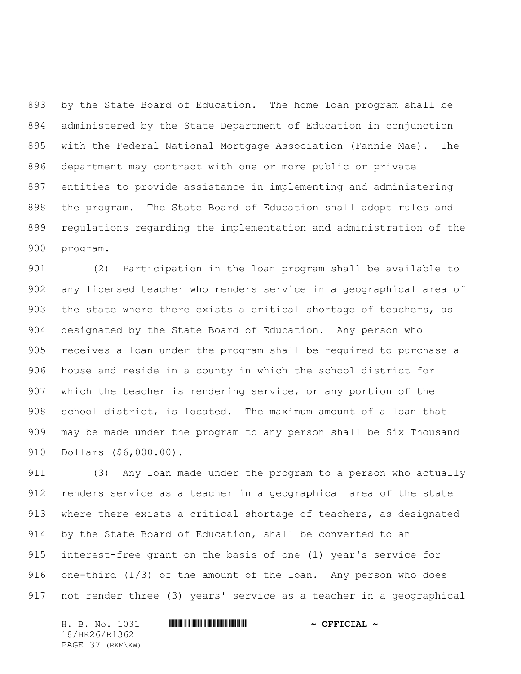by the State Board of Education. The home loan program shall be administered by the State Department of Education in conjunction with the Federal National Mortgage Association (Fannie Mae). The department may contract with one or more public or private entities to provide assistance in implementing and administering the program. The State Board of Education shall adopt rules and regulations regarding the implementation and administration of the program.

 (2) Participation in the loan program shall be available to any licensed teacher who renders service in a geographical area of the state where there exists a critical shortage of teachers, as designated by the State Board of Education. Any person who receives a loan under the program shall be required to purchase a house and reside in a county in which the school district for which the teacher is rendering service, or any portion of the school district, is located. The maximum amount of a loan that may be made under the program to any person shall be Six Thousand Dollars (\$6,000.00).

 (3) Any loan made under the program to a person who actually renders service as a teacher in a geographical area of the state where there exists a critical shortage of teachers, as designated by the State Board of Education, shall be converted to an interest-free grant on the basis of one (1) year's service for 916 one-third (1/3) of the amount of the loan. Any person who does not render three (3) years' service as a teacher in a geographical

H. B. No. 1031 **HREGIAL WEIGHT THE SECOND ASSESSMENT OF SECOND**  $\sim$  **OFFICIAL**  $\sim$ 18/HR26/R1362 PAGE 37 (RKM\KW)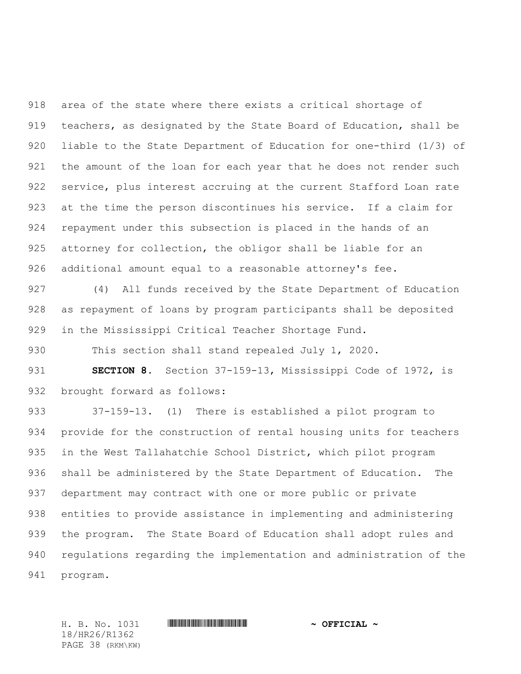area of the state where there exists a critical shortage of teachers, as designated by the State Board of Education, shall be liable to the State Department of Education for one-third (1/3) of 921 the amount of the loan for each year that he does not render such service, plus interest accruing at the current Stafford Loan rate at the time the person discontinues his service. If a claim for repayment under this subsection is placed in the hands of an 925 attorney for collection, the obligor shall be liable for an additional amount equal to a reasonable attorney's fee.

 (4) All funds received by the State Department of Education as repayment of loans by program participants shall be deposited in the Mississippi Critical Teacher Shortage Fund.

This section shall stand repealed July 1, 2020.

 **SECTION 8.** Section 37-159-13, Mississippi Code of 1972, is brought forward as follows:

 37-159-13. (1) There is established a pilot program to provide for the construction of rental housing units for teachers in the West Tallahatchie School District, which pilot program shall be administered by the State Department of Education. The department may contract with one or more public or private entities to provide assistance in implementing and administering the program. The State Board of Education shall adopt rules and regulations regarding the implementation and administration of the program.

18/HR26/R1362 PAGE 38 (RKM\KW)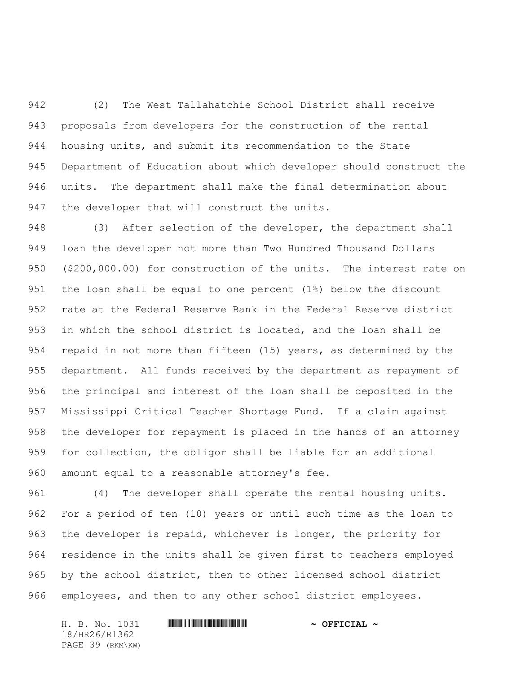(2) The West Tallahatchie School District shall receive proposals from developers for the construction of the rental housing units, and submit its recommendation to the State Department of Education about which developer should construct the units. The department shall make the final determination about the developer that will construct the units.

948 (3) After selection of the developer, the department shall loan the developer not more than Two Hundred Thousand Dollars (\$200,000.00) for construction of the units. The interest rate on the loan shall be equal to one percent (1%) below the discount rate at the Federal Reserve Bank in the Federal Reserve district in which the school district is located, and the loan shall be repaid in not more than fifteen (15) years, as determined by the department. All funds received by the department as repayment of the principal and interest of the loan shall be deposited in the Mississippi Critical Teacher Shortage Fund. If a claim against the developer for repayment is placed in the hands of an attorney for collection, the obligor shall be liable for an additional amount equal to a reasonable attorney's fee.

 (4) The developer shall operate the rental housing units. For a period of ten (10) years or until such time as the loan to the developer is repaid, whichever is longer, the priority for residence in the units shall be given first to teachers employed by the school district, then to other licensed school district employees, and then to any other school district employees.

H. B. No. 1031 \*HR26/R1362\* **~ OFFICIAL ~** 18/HR26/R1362 PAGE 39 (RKM\KW)